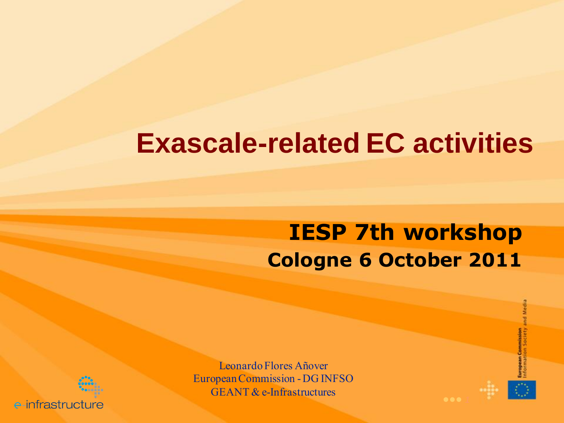### **Exascale-related EC activities**

#### **IESP 7th workshop Cologne 6 October 2011**



e-infrastructure

Leonardo Flores Añover European Commission -DG INFSO GEANT & e-Infrastructures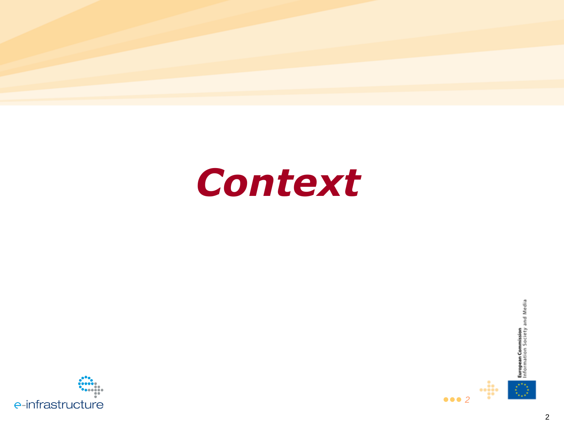



 $\frac{1}{2}$ 

 $\bullet\bullet\bullet$  2



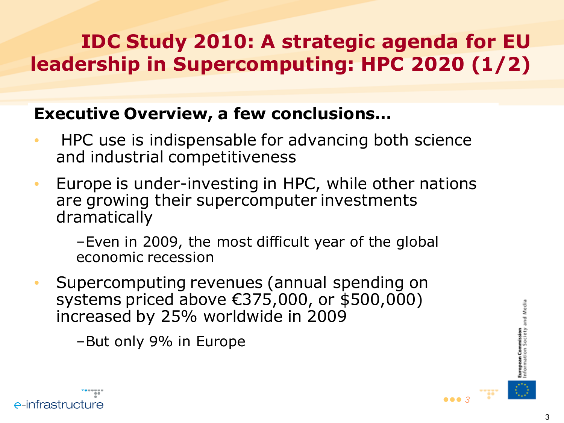#### **IDC Study 2010: A strategic agenda for EU leadership in Supercomputing: HPC 2020 (1/2)**

#### **Executive Overview, a few conclusions…**

- HPC use is indispensable for advancing both science and industrial competitiveness
- Europe is under-investing in HPC, while other nations are growing their supercomputer investments dramatically

–Even in 2009, the most difficult year of the global economic recession

- Supercomputing revenues (annual spending on systems priced above €375,000, or \$500,000) increased by 25% worldwide in 2009
	- –But only 9% in Europe



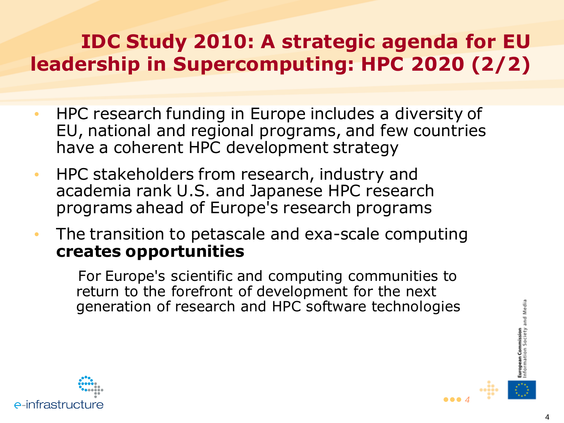#### **IDC Study 2010: A strategic agenda for EU leadership in Supercomputing: HPC 2020 (2/2)**

- HPC research funding in Europe includes a diversity of EU, national and regional programs, and few countries have a coherent HPC development strategy
- HPC stakeholders from research, industry and academia rank U.S. and Japanese HPC research programs ahead of Europe's research programs
- The transition to petascale and exa-scale computing **creates opportunities**

For Europe's scientific and computing communities to return to the forefront of development for the next generation of research and HPC software technologies



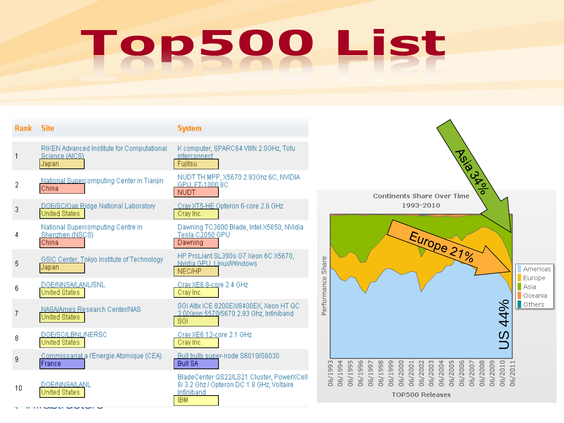## Top500 List

| <b>Rank</b> | <b>Site</b>                                                           | <b>System</b>                                                                                                      |                                                                                                                                                                            |
|-------------|-----------------------------------------------------------------------|--------------------------------------------------------------------------------------------------------------------|----------------------------------------------------------------------------------------------------------------------------------------------------------------------------|
|             | RIKEN Advanced Institute for Computational<br>Science (AICS)<br>Japan | K computer, SPARC64 VIIIfx 2.0GHz, Toful<br>interconnect<br>Fujitsu                                                | ASI8-19 ASI                                                                                                                                                                |
| 2           | National Supercomputing Center in Tianjin<br>China                    | NUDT TH MPP, X5670 2.93Ghz 6C, NVIDIA<br>GPU, FT-1000 8C<br><b>NUDT</b>                                            | ठ<br>Continents Share Over Time                                                                                                                                            |
| 3           | DOE/SC/Oak Ridge National Laboratory<br><b>United States</b>          | Cray XT5-HE Opteron 6-core 2.6 GHz<br>Cray Inc.                                                                    | 1993-2010                                                                                                                                                                  |
|             | National Supercomputing Centre in<br>Shenzhen (NSCS)<br>China         | Dawning TC3600 Blade, Intel X5650, NVidia<br>Tesla C2050 GPU<br>Dawning                                            | Europe 21%                                                                                                                                                                 |
| 5           | GSIC Center, Tokyo Institute of Technology<br>Japan                   | HP ProLiant SL390s G7 Xeon 6C X5670,<br>Nvidia GPU, Linux/Windows<br><b>NEC/HP</b>                                 | Performance Share                                                                                                                                                          |
| 6           | <b>DOE/NNSA/LANL/SNL</b><br><b>United States</b>                      | Cray XE6 8-core 2.4 GHz<br>Cray Inc.                                                                               |                                                                                                                                                                            |
|             | NASA/Ames Research Center/NAS<br>United States                        | SGI Altix ICE 8200EX/8400EX, Xeon HT QC<br>3.0/Xeon 5570/5670 2.93 Ghz, Infiniband<br>SGI                          |                                                                                                                                                                            |
| 8           | DOE/SC/LBNL/NERSC<br>United States                                    | Cray XE6 12-core 2.1 GHz<br>Cray Inc.                                                                              |                                                                                                                                                                            |
| 9           | Commissariat a l'Energie Atomique (CEA)<br>France                     | Bull bullx super-node S6010/S6030<br><b>Bull SA</b>                                                                | m                                                                                                                                                                          |
| 10          | <b>DOE/NNSA/LANL</b><br><b>United States</b>                          | BladeCenter QS22/LS21 Cluster, PowerXCell<br>8i 3.2 Ghz / Opteron DC 1.8 GHz, Voltaire<br>Infiniband<br><b>IBM</b> | 06/1994<br>06/1995<br>06/1998 06/1998<br>06/1998 06/2001<br>06/2001 06/2005 06/2007<br>06/2007 06/2007 06/2007 06/2009 06/2009 06/2009<br>06/199<br><b>TOP500 Releases</b> |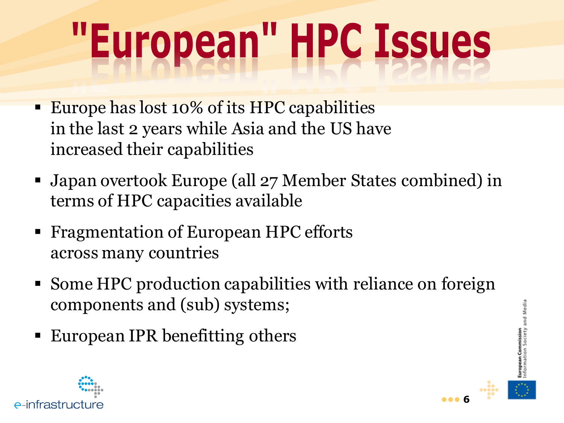# "European" HPC Issues

- **Europe has lost 10% of its HPC capabilities** in the last 2 years while Asia and the US have increased their capabilities
- Japan overtook Europe (all 27 Member States combined) in terms of HPC capacities available
- Fragmentation of European HPC efforts across many countries
- Some HPC production capabilities with reliance on foreign components and (sub) systems;
- European IPR benefitting others





and Media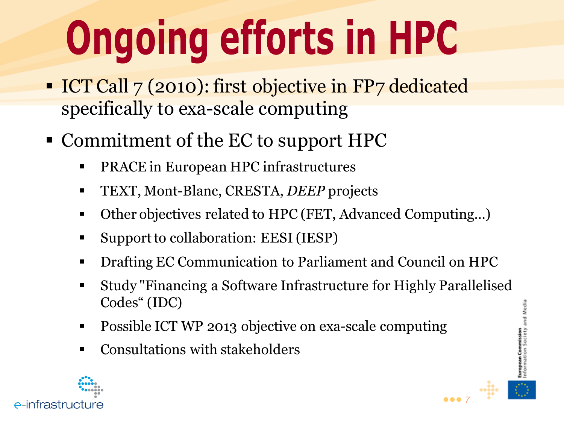# **Ongoing efforts in HPC**

- ICT Call 7 (2010): first objective in FP7 dedicated specifically to exa-scale computing
- Commitment of the EC to support HPC
	- **PRACE in European HPC infrastructures**
	- TEXT, Mont-Blanc, CRESTA, *DEEP* projects
	- Other objectives related to HPC (FET, Advanced Computing...)
	- Support to collaboration: EESI (IESP)
	- Drafting EC Communication to Parliament and Council on HPC
	- Study "Financing a Software Infrastructure for Highly Parallelised Codes" (IDC)
	- Possible ICT WP 2013 objective on exa-scale computing
	- Consultations with stakeholders



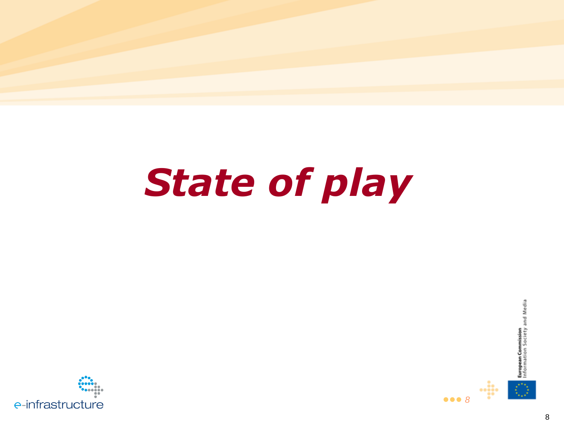### **State of play**





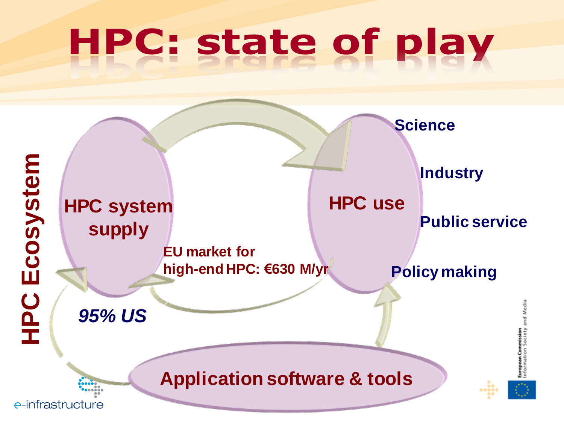## **HPC: state of play**

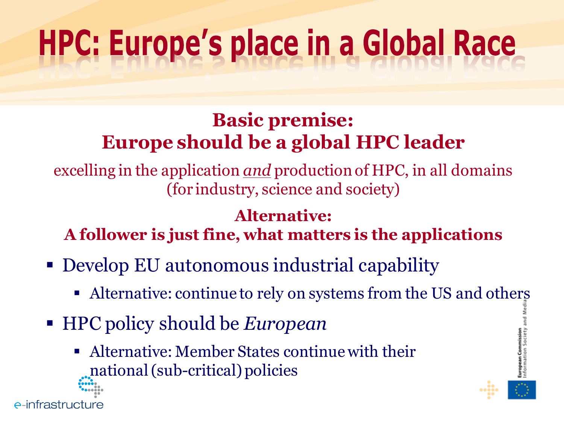### **HPC: Europe's place in a Global Race**

#### **Basic premise: Europe should be a global HPC leader**

excelling in the application *and* production of HPC, in all domains (for industry, science and society)

#### **Alternative:**

**A follower is just fine, what matters is the applications**

- Develop EU autonomous industrial capability
	- Alternative: continue to rely on systems from the US and others
- HPC policy should be *European*
	- Alternative: Member States continue with their national (sub-critical) policies

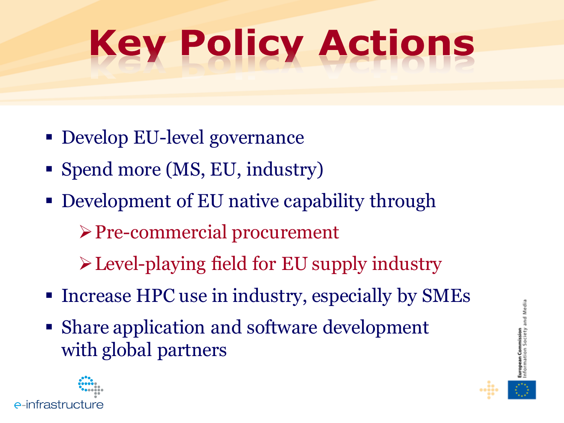## **Key Policy Actions**

- Develop EU-level governance
- Spend more (MS, EU, industry)
- Development of EU native capability through
	- Pre-commercial procurement
	- Level-playing field for EU supply industry
- Increase HPC use in industry, especially by SMEs
- Share application and software development with global partners



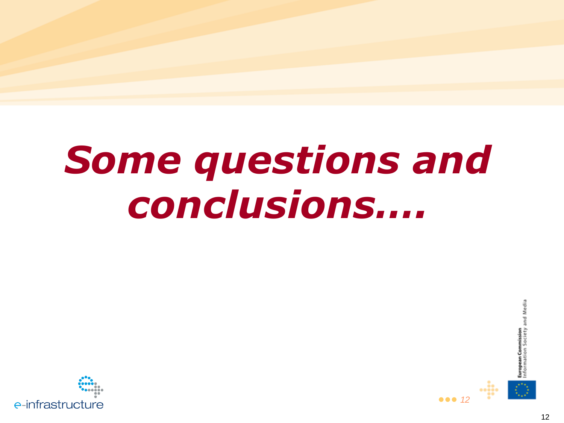### **Some questions and** conclusions....





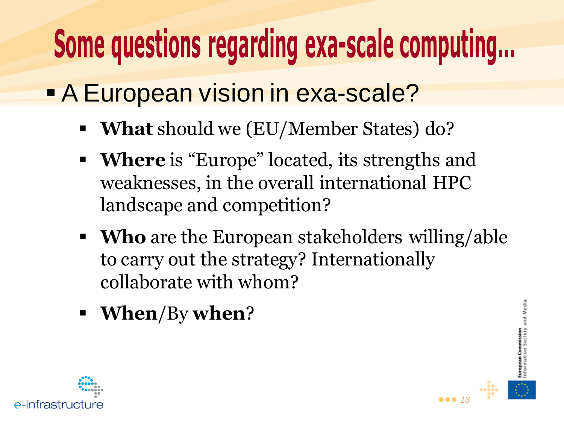### Some questions regarding exa-scale computing...

- **A European vision in exa-scale?** 
	- **What** should we (EU/Member States) do?
	- **Where** is "Europe" located, its strengths and weaknesses, in the overall international HPC landscape and competition?
	- **Who** are the European stakeholders willing/able to carry out the strategy? Internationally collaborate with whom?

**•••** *13*

**European Commission**<br>Information Society and Media

**When**/By **when**?

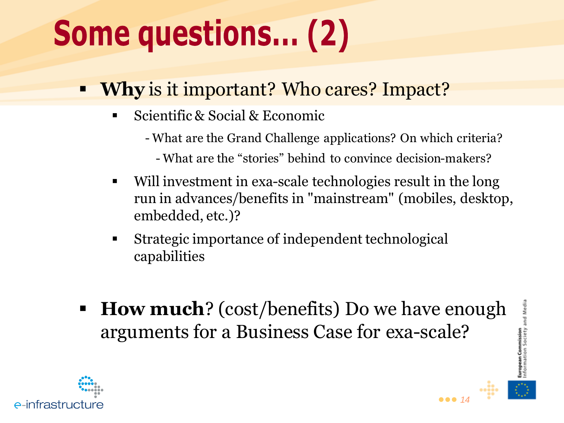### **Some questions... (2)**

- **Why** is it important? Who cares? Impact?
	- Scientific & Social & Economic
		- What are the Grand Challenge applications? On which criteria?
			- What are the "stories" behind to convince decision-makers?
	- Will investment in exa-scale technologies result in the long run in advances/benefits in "mainstream" (mobiles, desktop, embedded, etc.)?
	- Strategic importance of independent technological capabilities
- **How much**? (cost/benefits) Do we have enough arguments for a Business Case for exa-scale?



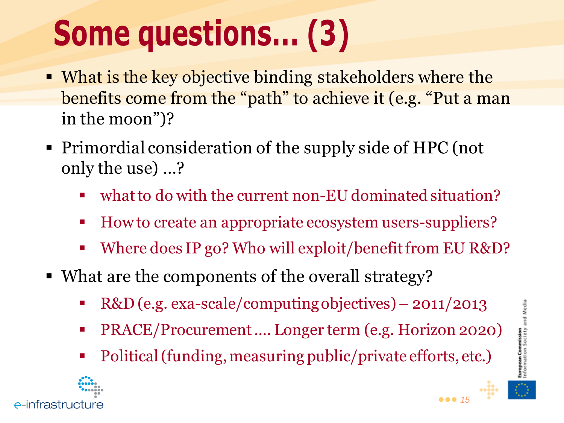### **Some questions... (3)**

- What is the key objective binding stakeholders where the benefits come from the "path" to achieve it (e.g. "Put a man in the moon")?
- Primordial consideration of the supply side of HPC (not only the use) …?
	- what to do with the current non-EU dominated situation?
	- How to create an appropriate ecosystem users-suppliers?
	- Where does IP go? Who will exploit/benefit from EU R&D?
- What are the components of the overall strategy?
	- R&D (e.g. exa-scale/computing objectives) 2011/2013
	- PRACE/Procurement …. Longer term (e.g. Horizon 2020)
	- Political (funding, measuring public/private efforts, etc.)



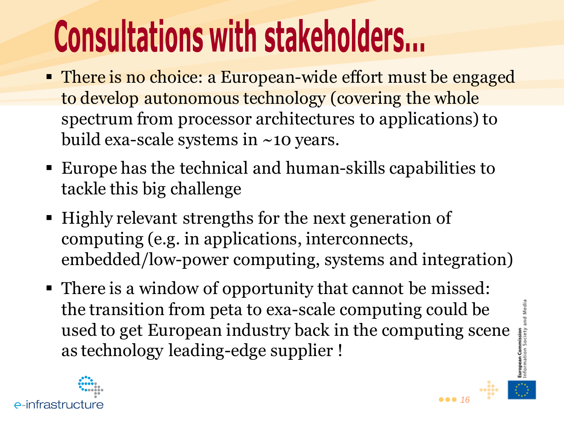## **Consultations with stakeholders...**

- There is no choice: a European-wide effort must be engaged to develop autonomous technology (covering the whole spectrum from processor architectures to applications) to build exa-scale systems in ~10 years.
- Europe has the technical and human-skills capabilities to tackle this big challenge
- Highly relevant strengths for the next generation of computing (e.g. in applications, interconnects, embedded/low-power computing, systems and integration)
- There is a window of opportunity that cannot be missed: the transition from peta to exa-scale computing could be used to get European industry back in the computing scene as technology leading-edge supplier !



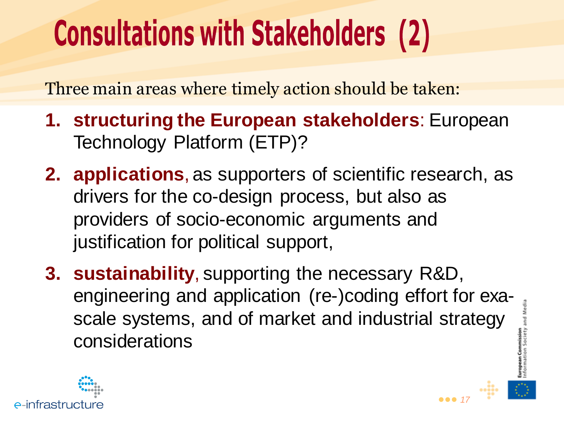### **Consultations with Stakeholders (2)**

Three main areas where timely action should be taken:

- **1. structuring the European stakeholders**: European Technology Platform (ETP)?
- **2. applications**, as supporters of scientific research, as drivers for the co-design process, but also as providers of socio-economic arguments and justification for political support,
- **3. sustainability**, supporting the necessary R&D, engineering and application (re-)coding effort for exascale systems, and of market and industrial strategy considerations

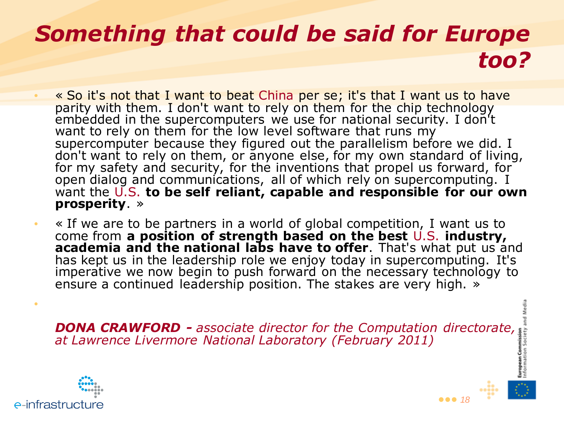#### *Something that could be said for Europe too?*

- « So it's not that I want to beat China per se; it's that I want us to have parity with them. I don't want to rely on them for the chip technology embedded in the supercomputers we use for national security. I don't want to rely on them for the low level software that runs my supercomputer because they figured out the parallelism before we did. I don't want to rely on them, or anyone else, for my own standard of living, for my safety and security, for the inventions that propel us forward, for open dialog and communications, all of which rely on supercomputing. I want the U.S. **to be self reliant, capable and responsible for our own prosperity**. »
- « If we are to be partners in a world of global competition, I want us to come from **a position of strength based on the best** U.S. **industry, academia and the national labs have to offer**. That's what put us and has kept us in the leadership role we enjoy today in supercomputing. It's imperative we now begin to push forward on the necessary technology to ensure a continued leadership position. The stakes are very high. »

**DONA CRAWFORD -** associate director for the Computation directorate, at Lawrence Livermore National Laboratory (February 2011) *at Lawrence Livermore National Laboratory (February 2011)*



•

and Media